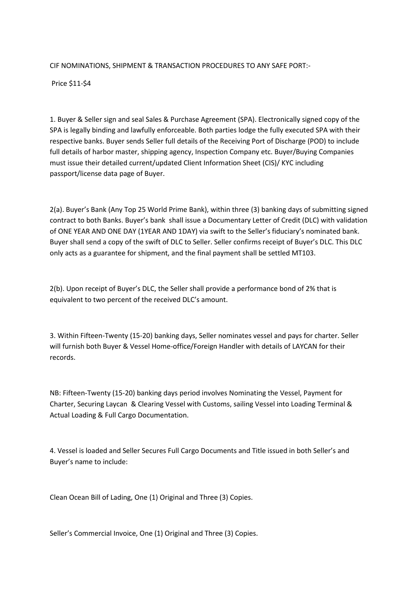## CIF NOMINATIONS, SHIPMENT & TRANSACTION PROCEDURES TO ANY SAFE PORT:-

Price \$11-\$4

1. Buyer & Seller sign and seal Sales & Purchase Agreement (SPA). Electronically signed copy of the SPA is legally binding and lawfully enforceable. Both parties lodge the fully executed SPA with their respective banks. Buyer sends Seller full details of the Receiving Port of Discharge (POD) to include full details of harbor master, shipping agency, Inspection Company etc. Buyer/Buying Companies must issue their detailed current/updated Client Information Sheet (CIS)/ KYC including passport/license data page of Buyer.

2(a). Buyer's Bank (Any Top 25 World Prime Bank), within three (3) banking days of submitting signed contract to both Banks. Buyer's bank shall issue a Documentary Letter of Credit (DLC) with validation of ONE YEAR AND ONE DAY (1YEAR AND 1DAY) via swift to the Seller's fiduciary's nominated bank. Buyer shall send a copy of the swift of DLC to Seller. Seller confirms receipt of Buyer's DLC. This DLC only acts as a guarantee for shipment, and the final payment shall be settled MT103.

2(b). Upon receipt of Buyer's DLC, the Seller shall provide a performance bond of 2% that is equivalent to two percent of the received DLC's amount.

3. Within Fifteen-Twenty (15-20) banking days, Seller nominates vessel and pays for charter. Seller will furnish both Buyer & Vessel Home-office/Foreign Handler with details of LAYCAN for their records.

NB: Fifteen-Twenty (15-20) banking days period involves Nominating the Vessel, Payment for Charter, Securing Laycan & Clearing Vessel with Customs, sailing Vessel into Loading Terminal & Actual Loading & Full Cargo Documentation.

4. Vessel is loaded and Seller Secures Full Cargo Documents and Title issued in both Seller's and Buyer's name to include:

Clean Ocean Bill of Lading, One (1) Original and Three (3) Copies.

Seller's Commercial Invoice, One (1) Original and Three (3) Copies.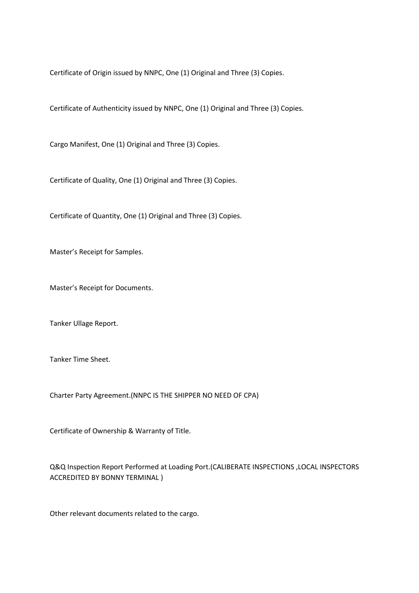Certificate of Origin issued by NNPC, One (1) Original and Three (3) Copies.

Certificate of Authenticity issued by NNPC, One (1) Original and Three (3) Copies.

Cargo Manifest, One (1) Original and Three (3) Copies.

Certificate of Quality, One (1) Original and Three (3) Copies.

Certificate of Quantity, One (1) Original and Three (3) Copies.

Master's Receipt for Samples.

Master's Receipt for Documents.

Tanker Ullage Report.

Tanker Time Sheet.

Charter Party Agreement.(NNPC IS THE SHIPPER NO NEED OF CPA)

Certificate of Ownership & Warranty of Title.

Q&Q Inspection Report Performed at Loading Port.(CALIBERATE INSPECTIONS ,LOCAL INSPECTORS ACCREDITED BY BONNY TERMINAL )

Other relevant documents related to the cargo.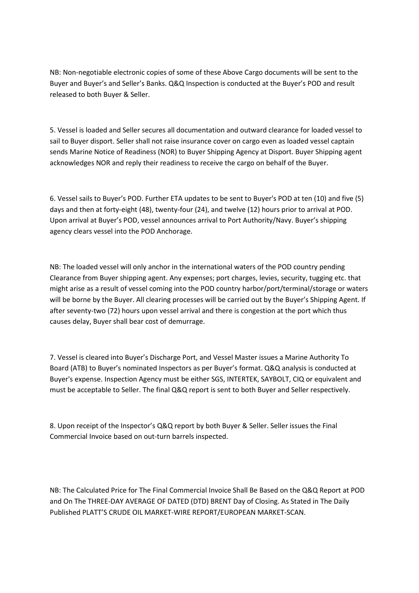NB: Non-negotiable electronic copies of some of these Above Cargo documents will be sent to the Buyer and Buyer's and Seller's Banks. Q&Q Inspection is conducted at the Buyer's POD and result released to both Buyer & Seller.

5. Vessel is loaded and Seller secures all documentation and outward clearance for loaded vessel to sail to Buyer disport. Seller shall not raise insurance cover on cargo even as loaded vessel captain sends Marine Notice of Readiness (NOR) to Buyer Shipping Agency at Disport. Buyer Shipping agent acknowledges NOR and reply their readiness to receive the cargo on behalf of the Buyer.

6. Vessel sails to Buyer's POD. Further ETA updates to be sent to Buyer's POD at ten (10) and five (5) days and then at forty-eight (48), twenty-four (24), and twelve (12) hours prior to arrival at POD. Upon arrival at Buyer's POD, vessel announces arrival to Port Authority/Navy. Buyer's shipping agency clears vessel into the POD Anchorage.

NB: The loaded vessel will only anchor in the international waters of the POD country pending Clearance from Buyer shipping agent. Any expenses; port charges, levies, security, tugging etc. that might arise as a result of vessel coming into the POD country harbor/port/terminal/storage or waters will be borne by the Buyer. All clearing processes will be carried out by the Buyer's Shipping Agent. If after seventy-two (72) hours upon vessel arrival and there is congestion at the port which thus causes delay, Buyer shall bear cost of demurrage.

7. Vessel is cleared into Buyer's Discharge Port, and Vessel Master issues a Marine Authority To Board (ATB) to Buyer's nominated Inspectors as per Buyer's format. Q&Q analysis is conducted at Buyer's expense. Inspection Agency must be either SGS, INTERTEK, SAYBOLT, CIQ or equivalent and must be acceptable to Seller. The final Q&Q report is sent to both Buyer and Seller respectively.

8. Upon receipt of the Inspector's Q&Q report by both Buyer & Seller. Seller issues the Final Commercial Invoice based on out-turn barrels inspected.

NB: The Calculated Price for The Final Commercial Invoice Shall Be Based on the Q&Q Report at POD and On The THREE-DAY AVERAGE OF DATED (DTD) BRENT Day of Closing. As Stated in The Daily Published PLATT'S CRUDE OIL MARKET-WIRE REPORT/EUROPEAN MARKET-SCAN.